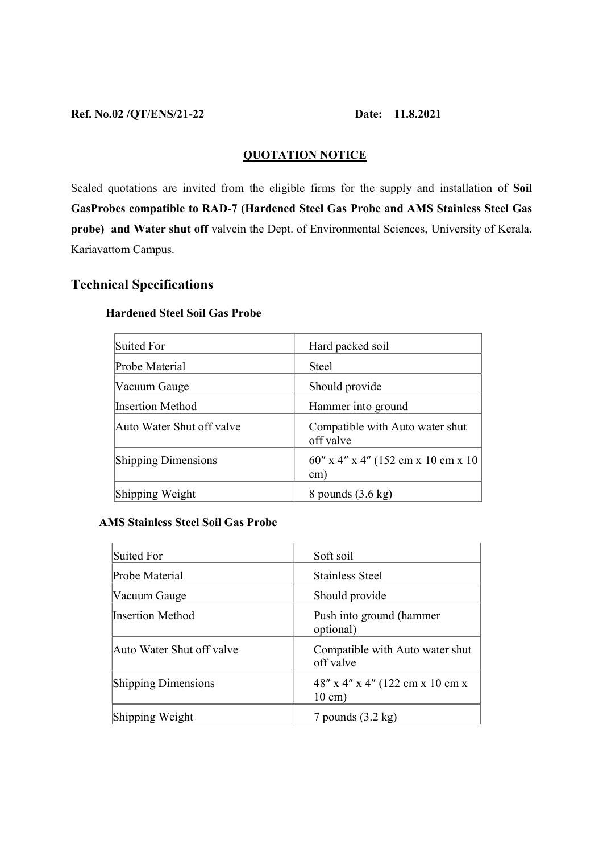### Ref. No.02 /QT/ENS/21-22 Date: 11.8.2021

# QUOTATION NOTICE

Sealed quotations are invited from the eligible firms for the supply and installation of Soil GasProbes compatible to RAD-7 (Hardened Steel Gas Probe and AMS Stainless Steel Gas probe) and Water shut off valvein the Dept. of Environmental Sciences, University of Kerala, Kariavattom Campus.

# Technical Specifications

| Suited For                 | Hard packed soil                                        |
|----------------------------|---------------------------------------------------------|
| Probe Material             | <b>Steel</b>                                            |
| Vacuum Gauge               | Should provide                                          |
| Insertion Method           | Hammer into ground                                      |
| Auto Water Shut off valve  | Compatible with Auto water shut<br>off valve            |
| <b>Shipping Dimensions</b> | $60''$ x 4" x 4" (152 cm x 10 cm x 10)<br>$\text{cm}$ ) |
| Shipping Weight            | 8 pounds $(3.6 \text{ kg})$                             |

## Hardened Steel Soil Gas Probe

## AMS Stainless Steel Soil Gas Probe

| Suited For                 | Soft soil                                            |
|----------------------------|------------------------------------------------------|
| Probe Material             | <b>Stainless Steel</b>                               |
| Vacuum Gauge               | Should provide                                       |
| Insertion Method           | Push into ground (hammer<br>optional)                |
| Auto Water Shut off valve  | Compatible with Auto water shut<br>off valve         |
| <b>Shipping Dimensions</b> | 48" x 4" x 4" (122 cm x 10 cm x<br>$10 \text{ cm}$ ) |
| Shipping Weight            | 7 pounds $(3.2 \text{ kg})$                          |